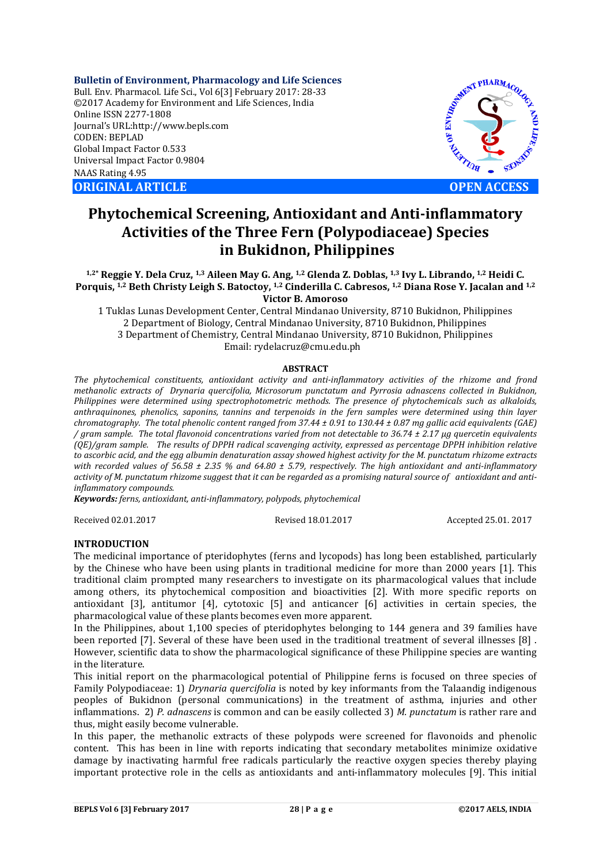**Bulletin of Environment, Pharmacology and Life Sciences** Bull. Env. Pharmacol. Life Sci., Vol 6[3] February 2017: 28-33 ©2017 Academy for Environment and Life Sciences, India Online ISSN 2277-1808 Journal's URL:http://www.bepls.com CODEN: BEPLAD Global Impact Factor 0.533 Universal Impact Factor 0.9804 NAAS Rating 4.95 **ORIGINAL ARTICLE OPEN ACCESS** 



# **Phytochemical Screening, Antioxidant and Anti-inflammatory Activities of the Three Fern (Polypodiaceae) Species in Bukidnon, Philippines**

**1,2\* Reggie Y. Dela Cruz, 1,3 Aileen May G. Ang, 1,2 Glenda Z. Doblas, 1,3 Ivy L. Librando, 1,2 Heidi C. Porquis, 1,2 Beth Christy Leigh S. Batoctoy, 1,2 Cinderilla C. Cabresos, 1,2 Diana Rose Y. Jacalan and 1,2 Victor B. Amoroso**

1 Tuklas Lunas Development Center, Central Mindanao University, 8710 Bukidnon, Philippines 2 Department of Biology, Central Mindanao University, 8710 Bukidnon, Philippines 3 Department of Chemistry, Central Mindanao University, 8710 Bukidnon, Philippines Email: rydelacruz@cmu.edu.ph

#### **ABSTRACT**

*The phytochemical constituents, antioxidant activity and anti-inflammatory activities of the rhizome and frond methanolic extracts of Drynaria quercifolia, Microsorum punctatum and Pyrrosia adnascens collected in Bukidnon, Philippines were determined using spectrophotometric methods. The presence of phytochemicals such as alkaloids, anthraquinones, phenolics, saponins, tannins and terpenoids in the fern samples were determined using thin layer chromatography. The total phenolic content ranged from 37.44 ± 0.91 to 130.44 ± 0.87 mg gallic acid equivalents (GAE) / gram sample. The total flavonoid concentrations varied from not detectable to 36.74 ± 2.17 µg quercetin equivalents (QE)/gram sample. The results of DPPH radical scavenging activity, expressed as percentage DPPH inhibition relative to ascorbic acid, and the egg albumin denaturation assay showed highest activity for the M. punctatum rhizome extracts with recorded values of 56.58 ± 2.35 % and 64.80 ± 5.79, respectively. The high antioxidant and anti-inflammatory activity of M. punctatum rhizome suggest that it can be regarded as a promising natural source of antioxidant and antiinflammatory compounds.*

*Keywords: ferns, antioxidant, anti-inflammatory, polypods, phytochemical*

Received 02.01.2017 Revised 18.01.2017 Accepted 25.01. 2017

### **INTRODUCTION**

The medicinal importance of pteridophytes (ferns and lycopods) has long been established, particularly by the Chinese who have been using plants in traditional medicine for more than 2000 years [1]. This traditional claim prompted many researchers to investigate on its pharmacological values that include among others, its phytochemical composition and bioactivities [2]. With more specific reports on antioxidant [3], antitumor [4], cytotoxic [5] and anticancer [6] activities in certain species, the pharmacological value of these plants becomes even more apparent.

In the Philippines, about 1,100 species of pteridophytes belonging to 144 genera and 39 families have been reported [7]. Several of these have been used in the traditional treatment of several illnesses [8] . However, scientific data to show the pharmacological significance of these Philippine species are wanting in the literature.

This initial report on the pharmacological potential of Philippine ferns is focused on three species of Family Polypodiaceae: 1) *Drynaria quercifolia* is noted by key informants from the Talaandig indigenous peoples of Bukidnon (personal communications) in the treatment of asthma, injuries and other inflammations. 2) *P. adnascens* is common and can be easily collected 3) *M. punctatum* is rather rare and thus, might easily become vulnerable.

In this paper, the methanolic extracts of these polypods were screened for flavonoids and phenolic content. This has been in line with reports indicating that secondary metabolites minimize oxidative damage by inactivating harmful free radicals particularly the reactive oxygen species thereby playing important protective role in the cells as antioxidants and anti-inflammatory molecules [9]. This initial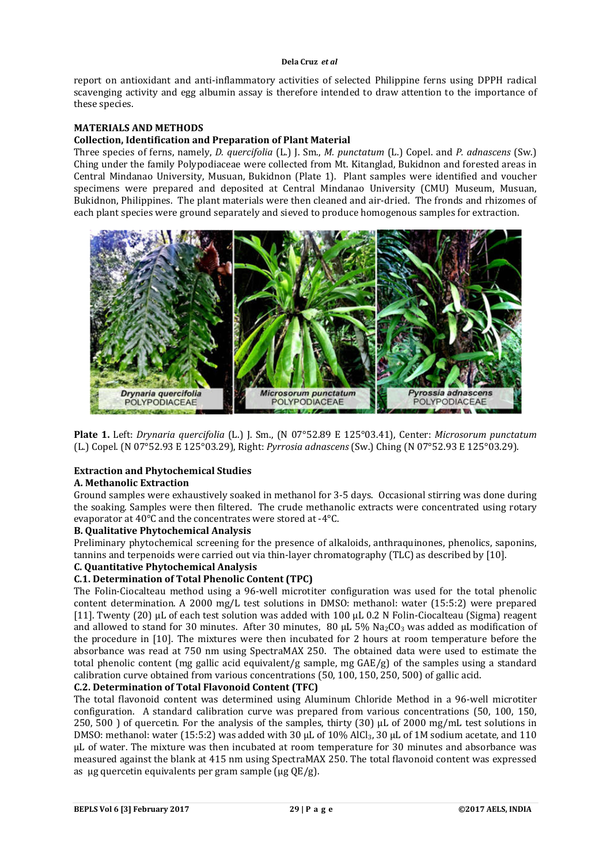## **Dela Cruz** *et al*

report on antioxidant and anti-inflammatory activities of selected Philippine ferns using DPPH radical scavenging activity and egg albumin assay is therefore intended to draw attention to the importance of these species.

## **MATERIALS AND METHODS**

## **Collection, Identification and Preparation of Plant Material**

Three species of ferns, namely, *D. quercifolia* (L.) J. Sm., *M. punctatum* (L.) Copel. and *P. adnascens* (Sw.) Ching under the family Polypodiaceae were collected from Mt. Kitanglad, Bukidnon and forested areas in Central Mindanao University, Musuan, Bukidnon (Plate 1). Plant samples were identified and voucher specimens were prepared and deposited at Central Mindanao University (CMU) Museum, Musuan, Bukidnon, Philippines. The plant materials were then cleaned and air-dried. The fronds and rhizomes of each plant species were ground separately and sieved to produce homogenous samples for extraction.



**Plate 1.** Left: *Drynaria quercifolia* (L.) J. Sm., (N 07°52.89 E 125°03.41), Center: *Microsorum punctatum* (L.) Copel. (N 07°52.93 E 125°03.29), Right: *Pyrrosia adnascens* (Sw.) Ching (N 07°52.93 E 125°03.29).

# **Extraction and Phytochemical Studies**

#### **A. Methanolic Extraction**

Ground samples were exhaustively soaked in methanol for 3-5 days. Occasional stirring was done during the soaking. Samples were then filtered. The crude methanolic extracts were concentrated using rotary evaporator at 40°C and the concentrates were stored at -4°C.

#### **B. Qualitative Phytochemical Analysis**

Preliminary phytochemical screening for the presence of alkaloids, anthraquinones, phenolics, saponins, tannins and terpenoids were carried out via thin-layer chromatography (TLC) as described by [10].

## **C. Quantitative Phytochemical Analysis**

## **C.1. Determination of Total Phenolic Content (TPC)**

The Folin-Ciocalteau method using a 96-well microtiter configuration was used for the total phenolic content determination. A 2000 mg/L test solutions in DMSO: methanol: water (15:5:2) were prepared [11]. Twenty (20) µL of each test solution was added with 100 µL 0.2 N Folin-Ciocalteau (Sigma) reagent and allowed to stand for 30 minutes. After 30 minutes, 80  $\mu$ L 5% Na<sub>2</sub>CO<sub>3</sub> was added as modification of the procedure in [10]. The mixtures were then incubated for 2 hours at room temperature before the absorbance was read at 750 nm using SpectraMAX 250. The obtained data were used to estimate the total phenolic content (mg gallic acid equivalent/g sample, mg GAE/g) of the samples using a standard calibration curve obtained from various concentrations (50, 100, 150, 250, 500) of gallic acid.

#### **C.2. Determination of Total Flavonoid Content (TFC)**

The total flavonoid content was determined using Aluminum Chloride Method in a 96-well microtiter configuration. A standard calibration curve was prepared from various concentrations (50, 100, 150, 250, 500 ) of quercetin. For the analysis of the samples, thirty (30)  $\mu$ L of 2000 mg/mL test solutions in DMSO: methanol: water (15:5:2) was added with 30 uL of 10% AlCl<sub>3</sub>, 30 uL of 1M sodium acetate, and 110 µL of water. The mixture was then incubated at room temperature for 30 minutes and absorbance was measured against the blank at 415 nm using SpectraMAX 250. The total flavonoid content was expressed as ug quercetin equivalents per gram sample ( $\mu$ g QE/g).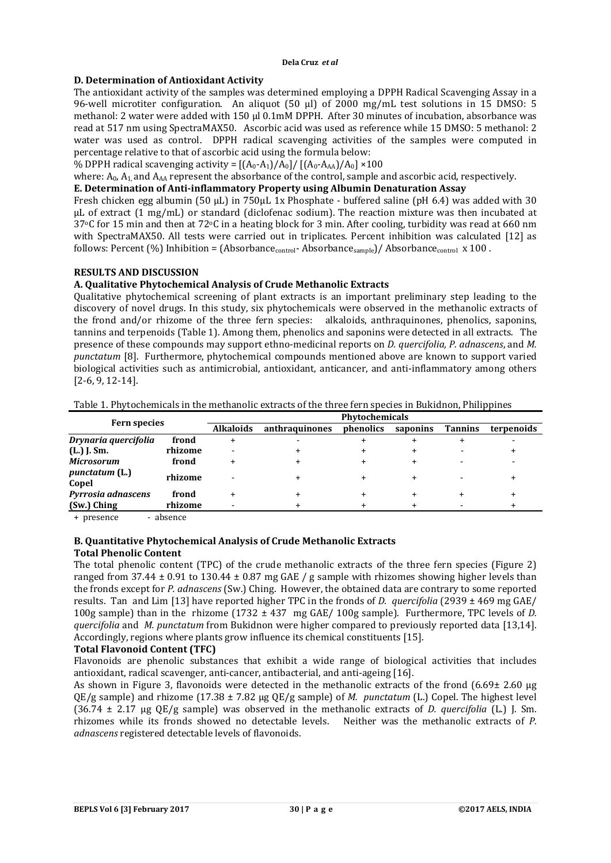#### **Dela Cruz** *et al*

# **D. Determination of Antioxidant Activity**

The antioxidant activity of the samples was determined employing a DPPH Radical Scavenging Assay in a 96-well microtiter configuration. An aliquot (50 µl) of 2000 mg/mL test solutions in 15 DMSO: 5 methanol: 2 water were added with 150 µl 0.1mM DPPH. After 30 minutes of incubation, absorbance was read at 517 nm using SpectraMAX50. Ascorbic acid was used as reference while 15 DMSO: 5 methanol: 2 water was used as control. DPPH radical scavenging activities of the samples were computed in percentage relative to that of ascorbic acid using the formula below:

% DPPH radical scavenging activity =  $[(A_0-A_1)/A_0]/[(A_0-A_{AA})/A_0] \times 100$ 

where: A<sub>0</sub>, A<sub>1</sub>, and A<sub>AA</sub> represent the absorbance of the control, sample and ascorbic acid, respectively.

# **E. Determination of Anti-inflammatory Property using Albumin Denaturation Assay**

Fresh chicken egg albumin (50 μL) in 750μL 1x Phosphate - buffered saline (pH 6.4) was added with 30 μL of extract (1 mg/mL) or standard (diclofenac sodium). The reaction mixture was then incubated at  $37^{\circ}$ C for 15 min and then at  $72^{\circ}$ C in a heating block for 3 min. After cooling, turbidity was read at 660 nm with SpectraMAX50. All tests were carried out in triplicates. Percent inhibition was calculated [12] as follows: Percent (%) Inhibition = (Absorbance<sub>control</sub>- Absorbance<sub>sample</sub>)/ Absorbance<sub>control</sub> x 100.

# **RESULTS AND DISCUSSION**

# **A. Qualitative Phytochemical Analysis of Crude Methanolic Extracts**

Qualitative phytochemical screening of plant extracts is an important preliminary step leading to the discovery of novel drugs. In this study, six phytochemicals were observed in the methanolic extracts of the frond and/or rhizome of the three fern species: alkaloids, anthraquinones, phenolics, saponins, tannins and terpenoids (Table 1). Among them, phenolics and saponins were detected in all extracts. The presence of these compounds may support ethno-medicinal reports on *D. quercifolia, P. adnascens*, and *M. punctatum* [8]. Furthermore, phytochemical compounds mentioned above are known to support varied biological activities such as antimicrobial, antioxidant, anticancer, and anti-inflammatory among others [2-6, 9, 12-14].

| Table 1. Phytochemicals in the methanolic extracts of the three fern species in Bukidnon, Philippines |
|-------------------------------------------------------------------------------------------------------|
|-------------------------------------------------------------------------------------------------------|

| <b>Fern species</b> |  | <b>Phytochemicals</b> |           |           |                |            |  |
|---------------------|--|-----------------------|-----------|-----------|----------------|------------|--|
|                     |  | anthraquinones        | phenolics | saponins  | <b>Tannins</b> | terpenoids |  |
| frond               |  |                       |           |           |                |            |  |
| rhizome             |  |                       |           |           |                |            |  |
| frond               |  |                       |           | $\div$    |                |            |  |
| rhizome             |  |                       |           | $\ddot{}$ |                |            |  |
| frond               |  |                       |           | $\div$    |                |            |  |
| rhizome             |  |                       | ÷         |           |                |            |  |
|                     |  | <b>Alkaloids</b>      |           |           |                |            |  |

+ presence - absence

# **B. Quantitative Phytochemical Analysis of Crude Methanolic Extracts**

# **Total Phenolic Content**

The total phenolic content (TPC) of the crude methanolic extracts of the three fern species (Figure 2) ranged from 37.44  $\pm$  0.91 to 130.44  $\pm$  0.87 mg GAE / g sample with rhizomes showing higher levels than the fronds except for *P. adnascens* (Sw.) Ching. However, the obtained data are contrary to some reported results. Tan and Lim [13] have reported higher TPC in the fronds of *D. quercifolia* (2939 ± 469 mg GAE/ 100g sample) than in the rhizome (1732 ± 437 mg GAE/ 100g sample). Furthermore, TPC levels of *D. quercifolia* and *M. punctatum* from Bukidnon were higher compared to previously reported data [13,14]. Accordingly, regions where plants grow influence its chemical constituents [15].

# **Total Flavonoid Content (TFC)**

Flavonoids are phenolic substances that exhibit a wide range of biological activities that includes antioxidant, radical scavenger, anti-cancer, antibacterial, and anti-ageing [16].

As shown in Figure 3, flavonoids were detected in the methanolic extracts of the frond (6.69± 2.60 µg QE/g sample) and rhizome (17.38 ± 7.82 µg QE/g sample) of *M. punctatum* (L.) Copel. The highest level (36.74 ± 2.17 µg QE/g sample) was observed in the methanolic extracts of *D. quercifolia* (L.) J. Sm. rhizomes while its fronds showed no detectable levels. Neither was the methanolic extracts of *P. adnascens* registered detectable levels of flavonoids.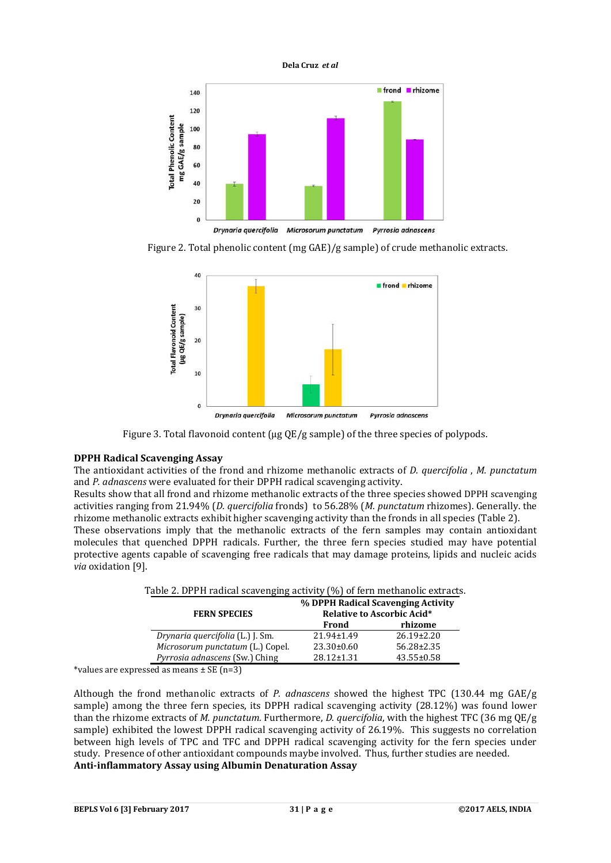



Figure 2. Total phenolic content (mg GAE)/g sample) of crude methanolic extracts.



Figure 3. Total flavonoid content ( $\mu$ g QE/g sample) of the three species of polypods.

# **DPPH Radical Scavenging Assay**

The antioxidant activities of the frond and rhizome methanolic extracts of *D. quercifolia* , *M. punctatum* and *P. adnascens* were evaluated for their DPPH radical scavenging activity.

Results show that all frond and rhizome methanolic extracts of the three species showed DPPH scavenging activities ranging from 21.94% (*D. quercifolia* fronds) to 56.28% (*M. punctatum* rhizomes). Generally. the rhizome methanolic extracts exhibit higher scavenging activity than the fronds in all species (Table 2).

These observations imply that the methanolic extracts of the fern samples may contain antioxidant molecules that quenched DPPH radicals. Further, the three fern species studied may have potential protective agents capable of scavenging free radicals that may damage proteins, lipids and nucleic acids *via* oxidation [9].

| Table 2. DPPH Tauteal scaveliging activity (%) of lefth inethallonc extracts. |                                                                         |                  |  |  |  |
|-------------------------------------------------------------------------------|-------------------------------------------------------------------------|------------------|--|--|--|
| <b>FERN SPECIES</b>                                                           | % DPPH Radical Scavenging Activity<br><b>Relative to Ascorbic Acid*</b> |                  |  |  |  |
|                                                                               | Frond                                                                   | rhizome          |  |  |  |
| Drynaria quercifolia (L.) J. Sm.                                              | $21.94 \pm 1.49$                                                        | $26.19 \pm 2.20$ |  |  |  |
| Microsorum punctatum (L.) Copel.                                              | $23.30\pm0.60$                                                          | $56.28 \pm 2.35$ |  |  |  |
| <i>Pyrrosia adnascens</i> (Sw.) Ching                                         | $28.12 \pm 1.31$                                                        | $43.55 \pm 0.58$ |  |  |  |

Table 2. DPPH radical scavenging activity (%) of fern methanolic extracts.

\*values are expressed as means  $\pm$  SE (n=3)

Although the frond methanolic extracts of *P. adnascens* showed the highest TPC (130.44 mg GAE/g sample) among the three fern species, its DPPH radical scavenging activity (28.12%) was found lower than the rhizome extracts of *M. punctatum.* Furthermore, *D. quercifolia*, with the highest TFC (36 mg QE/g sample) exhibited the lowest DPPH radical scavenging activity of 26.19%. This suggests no correlation between high levels of TPC and TFC and DPPH radical scavenging activity for the fern species under study. Presence of other antioxidant compounds maybe involved. Thus, further studies are needed. **Anti-inflammatory Assay using Albumin Denaturation Assay**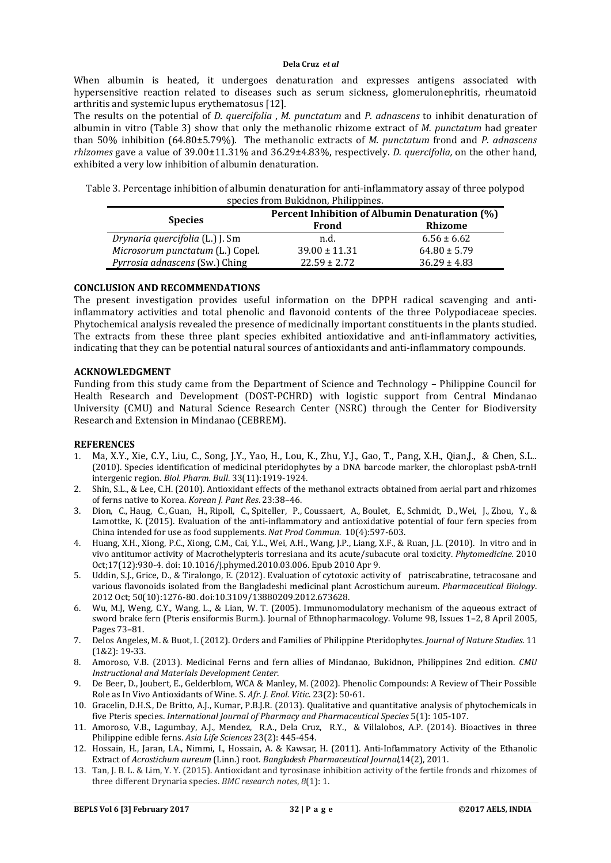When albumin is heated, it undergoes denaturation and expresses antigens associated with hypersensitive reaction related to diseases such as serum sickness, glomerulonephritis, rheumatoid arthritis and systemic lupus erythematosus [12].

The results on the potential of *D. quercifolia* , *M. punctatum* and *P. adnascens* to inhibit denaturation of albumin in vitro (Table 3) show that only the methanolic rhizome extract of *M. punctatum* had greater than 50% inhibition (64.80±5.79%). The methanolic extracts of *M. punctatum* frond and *P. adnascens rhizomes* gave a value of 39.00±11.31% and 36.29±4.83%, respectively. *D. quercifolia,* on the other hand, exhibited a very low inhibition of albumin denaturation.

Table 3. Percentage inhibition of albumin denaturation for anti-inflammatory assay of three polypod species from Bukidnon, Philippines.

|                                  | Percent Inhibition of Albumin Denaturation (%) |                  |  |  |
|----------------------------------|------------------------------------------------|------------------|--|--|
| <b>Species</b>                   | Frond                                          | Rhizome          |  |  |
| Drynaria quercifolia (L.) J. Sm  | n.d.                                           | $6.56 \pm 6.62$  |  |  |
| Microsorum punctatum (L.) Copel. | $39.00 \pm 11.31$                              | $64.80 \pm 5.79$ |  |  |
| Pyrrosia adnascens (Sw.) Ching   | $22.59 \pm 2.72$                               | $36.29 \pm 4.83$ |  |  |

## **CONCLUSION AND RECOMMENDATIONS**

The present investigation provides useful information on the DPPH radical scavenging and antiinflammatory activities and total phenolic and flavonoid contents of the three Polypodiaceae species. Phytochemical analysis revealed the presence of medicinally important constituents in the plants studied. The extracts from these three plant species exhibited antioxidative and anti-inflammatory activities, indicating that they can be potential natural sources of antioxidants and anti-inflammatory compounds.

#### **ACKNOWLEDGMENT**

Funding from this study came from the Department of Science and Technology – Philippine Council for Health Research and Development (DOST-PCHRD) with logistic support from Central Mindanao University (CMU) and Natural Science Research Center (NSRC) through the Center for Biodiversity Research and Extension in Mindanao (CEBREM).

#### **REFERENCES**

- 1. Ma, X.Y., Xie, C.Y., Liu, C., Song, J.Y., Yao, H., Lou, K., Zhu, Y.J., Gao, T., Pang, X.H., Qian,J., & Chen, S.L.. (2010). Species identification of medicinal pteridophytes by a DNA barcode marker, the chloroplast psbA-trnH intergenic region. *Biol. Pharm. Bull*. 33(11):1919-1924.
- 2. Shin, S.L., & Lee, C.H. (2010). Antioxidant effects of the methanol extracts obtained from aerial part and rhizomes of ferns native to Korea. *Korean J. Pant Res*. 23:38–46.
- 3. Dion, C., Haug, C., Guan, H., Ripoll, C., Spiteller, P., Coussaert, A., Boulet, E., Schmidt, D., Wei, J., Zhou, Y., & Lamottke, K. (2015). Evaluation of the anti-inflammatory and antioxidative potential of four fern species from China intended for use as food supplements. *Nat Prod Commun*. 10(4):597-603.
- 4. Huang, X.H., Xiong, P.C., Xiong, C.M., Cai, Y.L., Wei, A.H., Wang, J.P., Liang, X.F., & Ruan, J.L. (2010). In vitro and in vivo antitumor activity of Macrothelypteris torresiana and its acute/subacute oral toxicity. *Phytomedicine.* 2010 Oct;17(12):930-4. doi: 10.1016/j.phymed.2010.03.006. Epub 2010 Apr 9.
- 5. Uddin, S.J., Grice, D., & Tiralongo, E. (2012). Evaluation of cytotoxic activity of patriscabratine, tetracosane and various flavonoids isolated from the Bangladeshi medicinal plant Acrostichum aureum. *Pharmaceutical Biology*. 2012 Oct; 50(10):1276-80. doi:10.3109/13880209.2012.673628.
- 6. Wu, M.J, Weng, C.Y., Wang, L., & Lian, W. T. (2005). Immunomodulatory mechanism of the aqueous extract of sword brake fern (Pteris ensiformis Burm.). Journal of Ethnopharmacology. Volume 98, Issues 1–2, 8 April 2005, Pages 73–81.
- 7. Delos Angeles, M. & Buot, I. (2012). Orders and Families of Philippine Pteridophytes. *Journal of Nature Studies*. 11 (1&2): 19-33.
- 8. Amoroso, V.B. (2013). Medicinal Ferns and fern allies of Mindanao, Bukidnon, Philippines 2nd edition. *CMU Instructional and Materials Development Center*.
- 9. De Beer, D., Joubert, E., Gelderblom, WCA & Manley, M. (2002). Phenolic Compounds: A Review of Their Possible Role as In Vivo Antioxidants of Wine. S. *Afr. J. Enol. Vitic*. 23(2): 50-61.
- 10. Gracelin, D.H.S., De Britto, A.J., Kumar, P.B.J.R. (2013). Qualitative and quantitative analysis of phytochemicals in five Pteris species. *International Journal of Pharmacy and Pharmaceutical Species* 5(1): 105-107.
- 11. Amoroso, V.B., Lagumbay, A.J., Mendez, R.A., Dela Cruz, R.Y., & Villalobos, A.P. (2014). Bioactives in three Philippine edible ferns. *Asia Life Sciences* 23(2): 445-454.
- 12. Hossain, H., Jaran, I.A., Nimmi, I., Hossain, A. & Kawsar, H. (2011). Anti-Inflammatory Activity of the Ethanolic Extract of *Acrostichum aureum* (Linn.) root. *Bangladesh Pharmaceutical Journal,*14(2), 2011.
- 13. Tan, J. B. L. & Lim, Y. Y. (2015). Antioxidant and tyrosinase inhibition activity of the fertile fronds and rhizomes of three different Drynaria species. *BMC research notes*, *8*(1): 1.